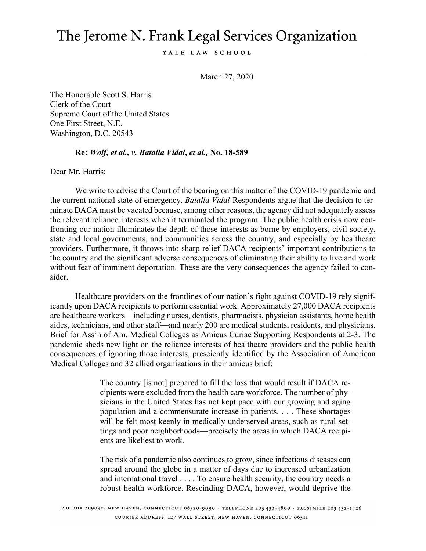## The Jerome N. Frank Legal Services Organization

YALE LAW SCHOOL

March 27, 2020

The Honorable Scott S. Harris Clerk of the Court Supreme Court of the United States One First Street, N.E. Washington, D.C. 20543

## **Re:** *Wolf, et al., v. Batalla Vidal***,** *et al.,* **No. 18-589**

Dear Mr. Harris:

We write to advise the Court of the bearing on this matter of the COVID-19 pandemic and the current national state of emergency. *Batalla Vidal-*Respondents argue that the decision to terminate DACA must be vacated because, among other reasons, the agency did not adequately assess the relevant reliance interests when it terminated the program. The public health crisis now confronting our nation illuminates the depth of those interests as borne by employers, civil society, state and local governments, and communities across the country, and especially by healthcare providers. Furthermore, it throws into sharp relief DACA recipients' important contributions to the country and the significant adverse consequences of eliminating their ability to live and work without fear of imminent deportation. These are the very consequences the agency failed to consider.

Healthcare providers on the frontlines of our nation's fight against COVID-19 rely significantly upon DACA recipients to perform essential work. Approximately 27,000 DACA recipients are healthcare workers—including nurses, dentists, pharmacists, physician assistants, home health aides, technicians, and other staff—and nearly 200 are medical students, residents, and physicians. Brief for Ass'n of Am. Medical Colleges as Amicus Curiae Supporting Respondents at 2-3. The pandemic sheds new light on the reliance interests of healthcare providers and the public health consequences of ignoring those interests, presciently identified by the Association of American Medical Colleges and 32 allied organizations in their amicus brief:

> The country [is not] prepared to fill the loss that would result if DACA recipients were excluded from the health care workforce. The number of physicians in the United States has not kept pace with our growing and aging population and a commensurate increase in patients. . . . These shortages will be felt most keenly in medically underserved areas, such as rural settings and poor neighborhoods—precisely the areas in which DACA recipients are likeliest to work.

> The risk of a pandemic also continues to grow, since infectious diseases can spread around the globe in a matter of days due to increased urbanization and international travel . . . . To ensure health security, the country needs a robust health workforce. Rescinding DACA, however, would deprive the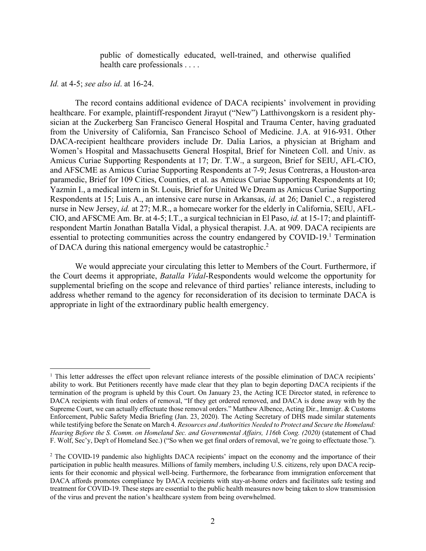public of domestically educated, well-trained, and otherwise qualified health care professionals . . . .

## *Id.* at 4-5; *see also id*. at 16-24.

The record contains additional evidence of DACA recipients' involvement in providing healthcare. For example, plaintiff-respondent Jirayut ("New") Latthivongskorn is a resident physician at the Zuckerberg San Francisco General Hospital and Trauma Center, having graduated from the University of California, San Francisco School of Medicine. J.A. at 916-931. Other DACA-recipient healthcare providers include Dr. Dalia Larios, a physician at Brigham and Women's Hospital and Massachusetts General Hospital, Brief for Nineteen Coll. and Univ. as Amicus Curiae Supporting Respondents at 17; Dr. T.W., a surgeon, Brief for SEIU, AFL-CIO, and AFSCME as Amicus Curiae Supporting Respondents at 7-9; Jesus Contreras, a Houston-area paramedic, Brief for 109 Cities, Counties, et al. as Amicus Curiae Supporting Respondents at 10; Yazmin I., a medical intern in St. Louis, Brief for United We Dream as Amicus Curiae Supporting Respondents at 15; Luis A., an intensive care nurse in Arkansas, *id.* at 26; Daniel C., a registered nurse in New Jersey, *id.* at 27; M.R., a homecare worker for the elderly in California, SEIU, AFL-CIO, and AFSCME Am. Br. at 4-5; I.T., a surgical technician in El Paso, *id.* at 15-17; and plaintiffrespondent Martín Jonathan Batalla Vidal, a physical therapist. J.A. at 909. DACA recipients are essential to protecting communities across the country endangered by COVID-19.<sup>1</sup> Termination of DACA during this national emergency would be catastrophic.2

We would appreciate your circulating this letter to Members of the Court. Furthermore, if the Court deems it appropriate, *Batalla Vidal*-Respondents would welcome the opportunity for supplemental briefing on the scope and relevance of third parties' reliance interests, including to address whether remand to the agency for reconsideration of its decision to terminate DACA is appropriate in light of the extraordinary public health emergency.

<sup>&</sup>lt;sup>1</sup> This letter addresses the effect upon relevant reliance interests of the possible elimination of DACA recipients' ability to work. But Petitioners recently have made clear that they plan to begin deporting DACA recipients if the termination of the program is upheld by this Court. On January 23, the Acting ICE Director stated, in reference to DACA recipients with final orders of removal, "If they get ordered removed, and DACA is done away with by the Supreme Court, we can actually effectuate those removal orders." Matthew Albence, Acting Dir., Immigr. & Customs Enforcement, Public Safety Media Briefing (Jan. 23, 2020). The Acting Secretary of DHS made similar statements while testifying before the Senate on March 4. *Resources and Authorities Needed to Protect and Secure the Homeland: Hearing Before the S. Comm. on Homeland Sec. and Governmental Affairs, 116th Cong. (2020)* (statement of Chad F. Wolf, Sec'y, Dep't of Homeland Sec.) ("So when we get final orders of removal, we're going to effectuate those.").

<sup>&</sup>lt;sup>2</sup> The COVID-19 pandemic also highlights DACA recipients' impact on the economy and the importance of their participation in public health measures. Millions of family members, including U.S. citizens, rely upon DACA recipients for their economic and physical well-being. Furthermore, the forbearance from immigration enforcement that DACA affords promotes compliance by DACA recipients with stay-at-home orders and facilitates safe testing and treatment for COVID-19. These steps are essential to the public health measures now being taken to slow transmission of the virus and prevent the nation's healthcare system from being overwhelmed.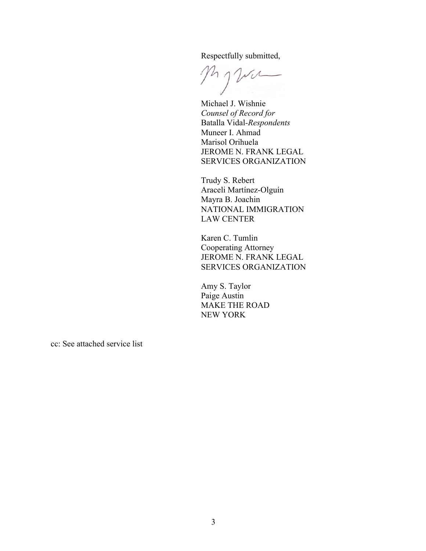Respectfully submitted,

Myva

Michael J. Wishnie *Counsel of Record for*  Batalla Vidal*-Respondents* Muneer I. Ahmad Marisol Orihuela JEROME N. FRANK LEGAL SERVICES ORGANIZATION

Trudy S. Rebert Araceli Martínez-Olguín Mayra B. Joachin NATIONAL IMMIGRATION LAW CENTER

Karen C. Tumlin Cooperating Attorney JEROME N. FRANK LEGAL SERVICES ORGANIZATION

Amy S. Taylor Paige Austin MAKE THE ROAD NEW YORK

cc: See attached service list